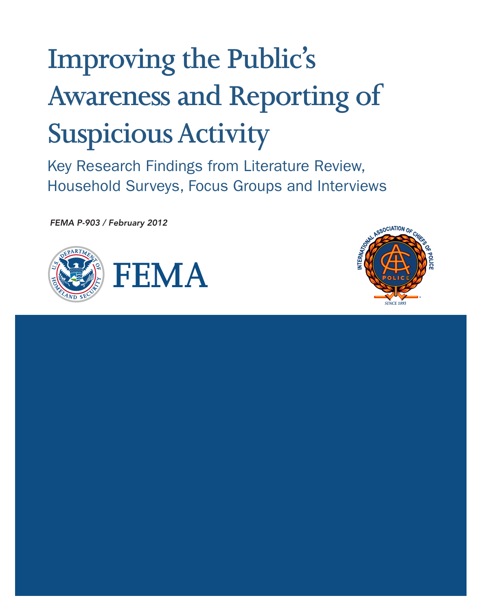# **Improving the Public's Awareness and Reporting of Suspicious Activity**

Key Research Findings from Literature Review, Household Surveys, Focus Groups and Interviews

FEMA P-903 / January 2012 *FEMA P-903 / February 2012* 



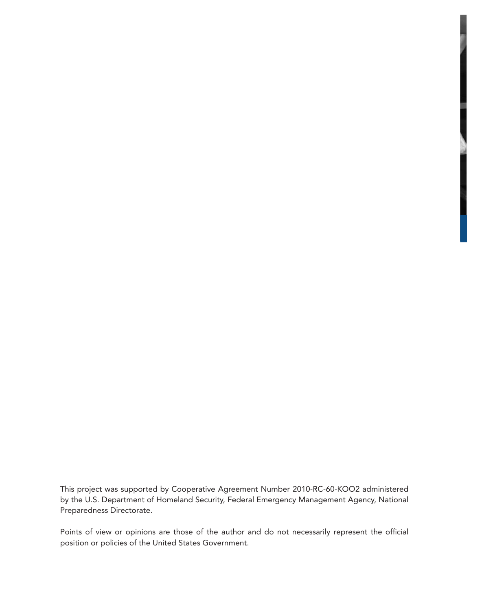This project was supported by Cooperative Agreement Number 2010-RC-60-KOO2 administered by the U.S. Department of Homeland Security, Federal Emergency Management Agency, National Preparedness Directorate.

Points of view or opinions are those of the author and do not necessarily represent the official position or policies of the United States Government.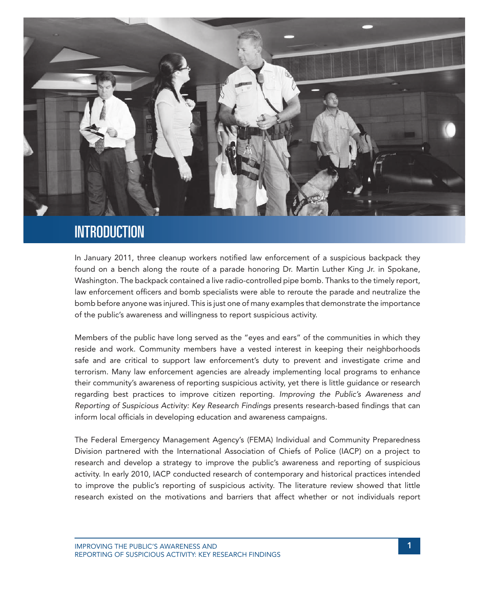

# **INTRODUCTION**

In January 2011, three cleanup workers notified law enforcement of a suspicious backpack they found on a bench along the route of a parade honoring Dr. Martin Luther King Jr. in Spokane, Washington. The backpack contained a live radio-controlled pipe bomb. Thanks to the timely report, law enforcement officers and bomb specialists were able to reroute the parade and neutralize the bomb before anyone was injured. This is just one of many examples that demonstrate the importance of the public's awareness and willingness to report suspicious activity.

Members of the public have long served as the "eyes and ears" of the communities in which they reside and work. Community members have a vested interest in keeping their neighborhoods safe and are critical to support law enforcement's duty to prevent and investigate crime and terrorism. Many law enforcement agencies are already implementing local programs to enhance their community's awareness of reporting suspicious activity, yet there is little guidance or research regarding best practices to improve citizen reporting. *Improving the Public's Awareness and Reporting of Suspicious Activity: Key Research Findings presents research-based findings that can* inform local officials in developing education and awareness campaigns.

The Federal Emergency Management Agency's (FEMA) Individual and Community Preparedness Division partnered with the International Association of Chiefs of Police (IACP) on a project to research and develop a strategy to improve the public's awareness and reporting of suspicious activity. In early 2010, IACP conducted research of contemporary and historical practices intended to improve the public's reporting of suspicious activity. The literature review showed that little research existed on the motivations and barriers that affect whether or not individuals report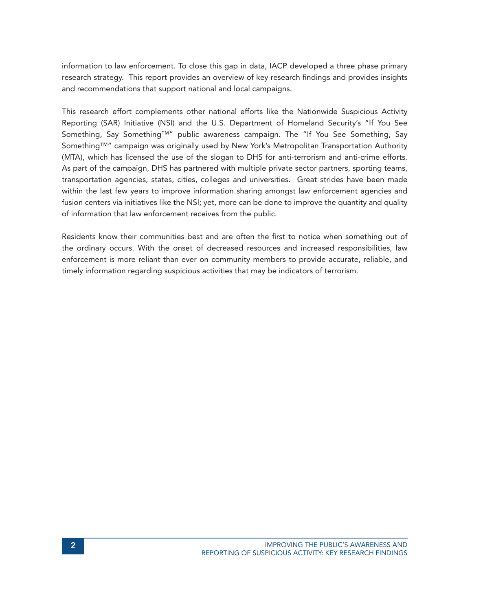information to law enforcement. To close this gap in data, IACP developed a three phase primary research strategy. This report provides an overview of key research findings and provides insights and recommendations that support national and local campaigns.

This research effort complements other national efforts like the Nationwide Suspicious Activity Reporting (SAR) Initiative (NSI) and the U.S. Department of Homeland Security's "If You See Something, Say Something™" public awareness campaign. The "If You See Something, Say Something™" campaign was originally used by New York's Metropolitan Transportation Authority (MTA), which has licensed the use of the slogan to DHS for anti-terrorism and anti-crime efforts. As part of the campaign, DHS has partnered with multiple private sector partners, sporting teams, transportation agencies, states, cities, colleges and universities. Great strides have been made within the last few years to improve information sharing amongst law enforcement agencies and fusion centers via initiatives like the NSI; yet, more can be done to improve the quantity and quality of information that law enforcement receives from the public.

Residents know their communities best and are often the first to notice when something out of the ordinary occurs. With the onset of decreased resources and increased responsibilities, law enforcement is more reliant than ever on community members to provide accurate, reliable, and timely information regarding suspicious activities that may be indicators of terrorism.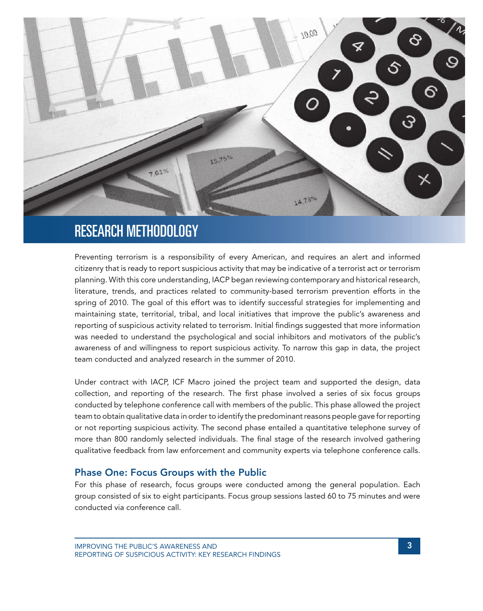

# RESEARCH METHODOLOGY

Preventing terrorism is a responsibility of every American, and requires an alert and informed citizenry that is ready to report suspicious activity that may be indicative of a terrorist act or terrorism planning. With this core understanding, IACP began reviewing contemporary and historical research, literature, trends, and practices related to community-based terrorism prevention efforts in the spring of 2010. The goal of this effort was to identify successful strategies for implementing and maintaining state, territorial, tribal, and local initiatives that improve the public's awareness and reporting of suspicious activity related to terrorism. Initial findings suggested that more information was needed to understand the psychological and social inhibitors and motivators of the public's awareness of and willingness to report suspicious activity. To narrow this gap in data, the project team conducted and analyzed research in the summer of 2010.

Under contract with IACP, ICF Macro joined the project team and supported the design, data collection, and reporting of the research. The first phase involved a series of six focus groups conducted by telephone conference call with members of the public. This phase allowed the project team to obtain qualitative data in order to identify the predominant reasons people gave for reporting or not reporting suspicious activity. The second phase entailed a quantitative telephone survey of more than 800 randomly selected individuals. The final stage of the research involved gathering qualitative feedback from law enforcement and community experts via telephone conference calls.

## Phase One: Focus Groups with the Public

For this phase of research, focus groups were conducted among the general population. Each group consisted of six to eight participants. Focus group sessions lasted 60 to 75 minutes and were conducted via conference call.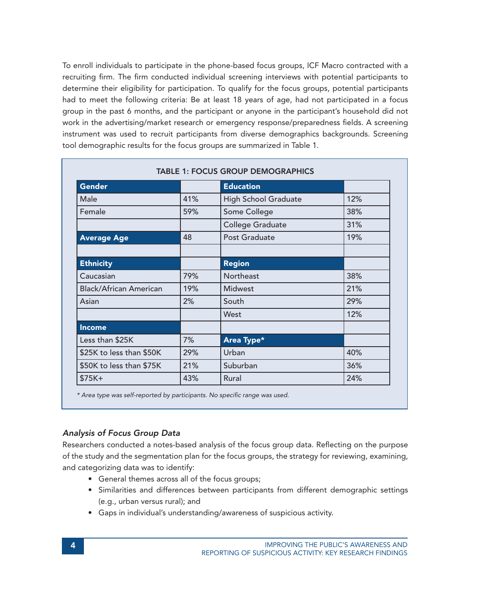recruiting firm. The firm conducted individual screening interviews with potential participants to To enroll individuals to participate in the phone-based focus groups, ICF Macro contracted with a determine their eligibility for participation. To qualify for the focus groups, potential participants had to meet the following criteria: Be at least 18 years of age, had not participated in a focus group in the past 6 months, and the participant or anyone in the participant's household did not work in the advertising/market research or emergency response/preparedness fields. A screening instrument was used to recruit participants from diverse demographics backgrounds. Screening tool demographic results for the focus groups are summarized in Table 1.

| <b>Gender</b>                 |     | <b>Education</b>            |     |
|-------------------------------|-----|-----------------------------|-----|
| Male                          | 41% | <b>High School Graduate</b> | 12% |
| Female                        | 59% | Some College                | 38% |
|                               |     | <b>College Graduate</b>     | 31% |
| <b>Average Age</b>            | 48  | <b>Post Graduate</b>        | 19% |
|                               |     |                             |     |
| <b>Ethnicity</b>              |     | <b>Region</b>               |     |
| Caucasian                     | 79% | <b>Northeast</b>            | 38% |
| <b>Black/African American</b> | 19% | <b>Midwest</b>              | 21% |
| Asian                         | 2%  | South                       | 29% |
|                               |     | West                        | 12% |
| <b>Income</b>                 |     |                             |     |
| Less than \$25K               | 7%  | Area Type*                  |     |
| \$25K to less than \$50K      | 29% | Urban                       | 40% |
| \$50K to less than \$75K      | 21% | Suburban                    | 36% |
| $$75K+$                       | 43% | Rural                       | 24% |

*\* Area type was self-reported by participants. No specific range was used.* 

#### *Analysis of Focus Group Data*

Researchers conducted a notes-based analysis of the focus group data. Reflecting on the purpose of the study and the segmentation plan for the focus groups, the strategy for reviewing, examining, and categorizing data was to identify:

- General themes across all of the focus groups;
- Similarities and differences between participants from different demographic settings (e.g., urban versus rural); and
- Gaps in individual's understanding/awareness of suspicious activity.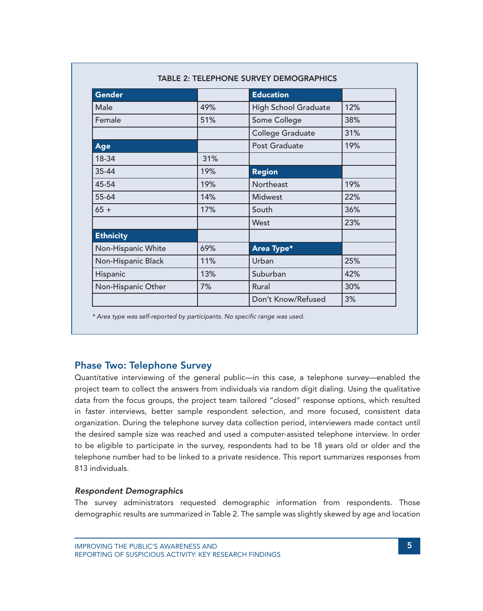| <b>Gender</b>      |     | <b>Education</b>            |     |
|--------------------|-----|-----------------------------|-----|
| Male               | 49% | <b>High School Graduate</b> | 12% |
| Female             | 51% | Some College                | 38% |
|                    |     | <b>College Graduate</b>     | 31% |
| Age                |     | <b>Post Graduate</b>        | 19% |
| 18-34              | 31% |                             |     |
| $35 - 44$          | 19% | <b>Region</b>               |     |
| 45-54              | 19% | Northeast                   | 19% |
| 55-64              | 14% | <b>Midwest</b>              | 22% |
| $65 +$             | 17% | South                       | 36% |
|                    |     | West                        | 23% |
| <b>Ethnicity</b>   |     |                             |     |
| Non-Hispanic White | 69% | Area Type*                  |     |
| Non-Hispanic Black | 11% | Urban                       | 25% |
| Hispanic           | 13% | Suburban                    | 42% |
| Non-Hispanic Other | 7%  | Rural                       | 30% |
|                    |     | Don't Know/Refused          | 3%  |

#### TABLE 2: TELEPHONE SURVEY DEMOGRAPHICS

*\* Area type was self-reported by participants. No specific range was used.* 

#### Phase Two: Telephone Survey

Quantitative interviewing of the general public—in this case, a telephone survey—enabled the project team to collect the answers from individuals via random digit dialing. Using the qualitative data from the focus groups, the project team tailored "closed" response options, which resulted in faster interviews, better sample respondent selection, and more focused, consistent data organization. During the telephone survey data collection period, interviewers made contact until the desired sample size was reached and used a computer-assisted telephone interview. In order to be eligible to participate in the survey, respondents had to be 18 years old or older and the telephone number had to be linked to a private residence. This report summarizes responses from 813 individuals.

#### *Respondent Demographics*

The survey administrators requested demographic information from respondents. Those demographic results are summarized in Table 2. The sample was slightly skewed by age and location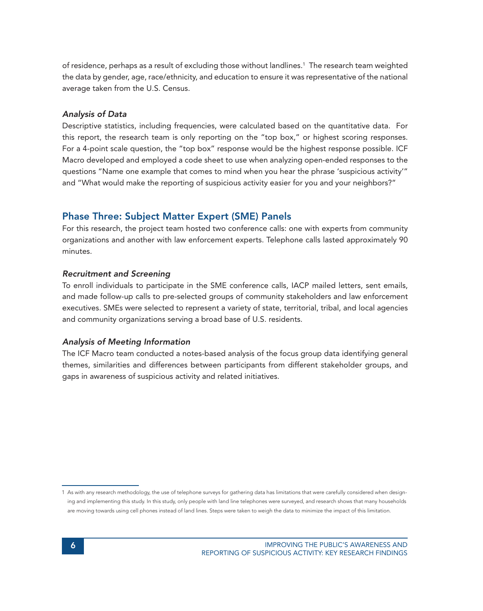of residence, perhaps as a result of excluding those without landlines.<sup>1</sup> The research team weighted the data by gender, age, race/ethnicity, and education to ensure it was representative of the national average taken from the U.S. Census.

#### *Analysis of Data*

Descriptive statistics, including frequencies, were calculated based on the quantitative data. For this report, the research team is only reporting on the "top box," or highest scoring responses. For a 4-point scale question, the "top box" response would be the highest response possible. ICF Macro developed and employed a code sheet to use when analyzing open-ended responses to the questions "Name one example that comes to mind when you hear the phrase 'suspicious activity'" and "What would make the reporting of suspicious activity easier for you and your neighbors?"

## Phase Three: Subject Matter Expert (SME) Panels

For this research, the project team hosted two conference calls: one with experts from community organizations and another with law enforcement experts. Telephone calls lasted approximately 90 minutes.

#### *Recruitment and Screening*

To enroll individuals to participate in the SME conference calls, IACP mailed letters, sent emails, and made follow-up calls to pre-selected groups of community stakeholders and law enforcement executives. SMEs were selected to represent a variety of state, territorial, tribal, and local agencies and community organizations serving a broad base of U.S. residents.

#### *Analysis of Meeting Information*

The ICF Macro team conducted a notes-based analysis of the focus group data identifying general themes, similarities and differences between participants from different stakeholder groups, and gaps in awareness of suspicious activity and related initiatives.

<sup>1</sup> As with any research methodology, the use of telephone surveys for gathering data has limitations that were carefully considered when designing and implementing this study. In this study, only people with land line telephones were surveyed, and research shows that many households are moving towards using cell phones instead of land lines. Steps were taken to weigh the data to minimize the impact of this limitation.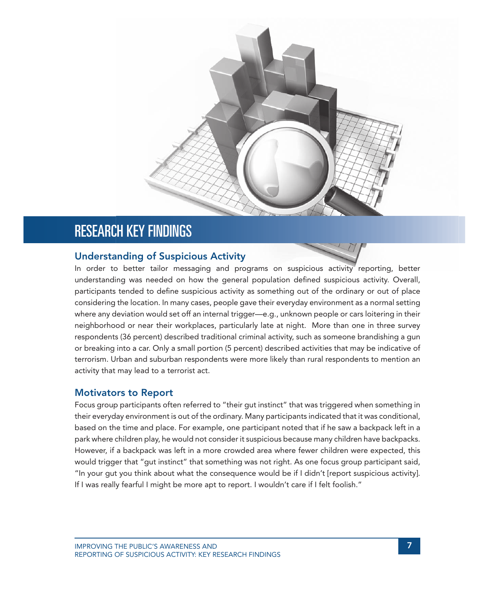

# RESEARCH KEY FINDINGS

## Understanding of Suspicious Activity

In order to better tailor messaging and programs on suspicious activity reporting, better understanding was needed on how the general population defined suspicious activity. Overall, participants tended to define suspicious activity as something out of the ordinary or out of place considering the location. In many cases, people gave their everyday environment as a normal setting where any deviation would set off an internal trigger—e.g., unknown people or cars loitering in their neighborhood or near their workplaces, particularly late at night. More than one in three survey respondents (36 percent) described traditional criminal activity, such as someone brandishing a gun or breaking into a car. Only a small portion (5 percent) described activities that may be indicative of terrorism. Urban and suburban respondents were more likely than rural respondents to mention an activity that may lead to a terrorist act.

## Motivators to Report

Focus group participants often referred to "their gut instinct" that was triggered when something in their everyday environment is out of the ordinary. Many participants indicated that it was conditional, based on the time and place. For example, one participant noted that if he saw a backpack left in a park where children play, he would not consider it suspicious because many children have backpacks. However, if a backpack was left in a more crowded area where fewer children were expected, this would trigger that "gut instinct" that something was not right. As one focus group participant said, "In your gut you think about what the consequence would be if I didn't [report suspicious activity]. If I was really fearful I might be more apt to report. I wouldn't care if I felt foolish."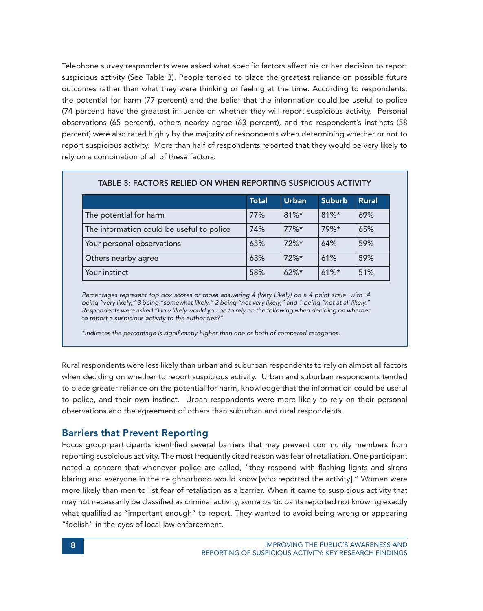Telephone survey respondents were asked what specific factors affect his or her decision to report suspicious activity (See Table 3). People tended to place the greatest reliance on possible future outcomes rather than what they were thinking or feeling at the time. According to respondents, the potential for harm (77 percent) and the belief that the information could be useful to police (74 percent) have the greatest influence on whether they will report suspicious activity. Personal observations (65 percent), others nearby agree (63 percent), and the respondent's instincts (58 percent) were also rated highly by the majority of respondents when determining whether or not to report suspicious activity. More than half of respondents reported that they would be very likely to rely on a combination of all of these factors.

| TABLE 3: FACTORS RELIED ON WHEN REPORTING SUSPICIOUS ACTIVITY |              |              |               |              |
|---------------------------------------------------------------|--------------|--------------|---------------|--------------|
|                                                               | <b>Total</b> | <b>Urban</b> | <b>Suburb</b> | <b>Rural</b> |
| The potential for harm                                        | 77%          | $81\%*$      | $81\%*$       | 69%          |
| The information could be useful to police                     | 74%          | $77\%*$      | 79%*          | 65%          |
| Your personal observations                                    | 65%          | $72\%*$      | 64%           | 59%          |
| Others nearby agree                                           | 63%          | $72\%*$      | 61%           | 59%          |
| Your instinct                                                 | 58%          | $62\%*$      | $61\%$ *      | 51%          |

*Percentages represent top box scores or those answering 4 (Very Likely) on a 4 point scale with 4 being "very likely," 3 being "somewhat likely," 2 being "not very likely," and 1 being "not at all likely." Respondents were asked "How likely would you be to rely on the following when deciding on whether to report a suspicious activity to the authorities?"* 

*\*Indicates the percentage is significantly higher than one or both of compared categories.* 

Rural respondents were less likely than urban and suburban respondents to rely on almost all factors when deciding on whether to report suspicious activity. Urban and suburban respondents tended to place greater reliance on the potential for harm, knowledge that the information could be useful to police, and their own instinct. Urban respondents were more likely to rely on their personal observations and the agreement of others than suburban and rural respondents.

#### Barriers that Prevent Reporting

Focus group participants identified several barriers that may prevent community members from reporting suspicious activity. The most frequently cited reason was fear of retaliation. One participant noted a concern that whenever police are called, "they respond with flashing lights and sirens blaring and everyone in the neighborhood would know [who reported the activity]." Women were more likely than men to list fear of retaliation as a barrier. When it came to suspicious activity that may not necessarily be classified as criminal activity, some participants reported not knowing exactly what qualified as "important enough" to report. They wanted to avoid being wrong or appearing "foolish" in the eyes of local law enforcement.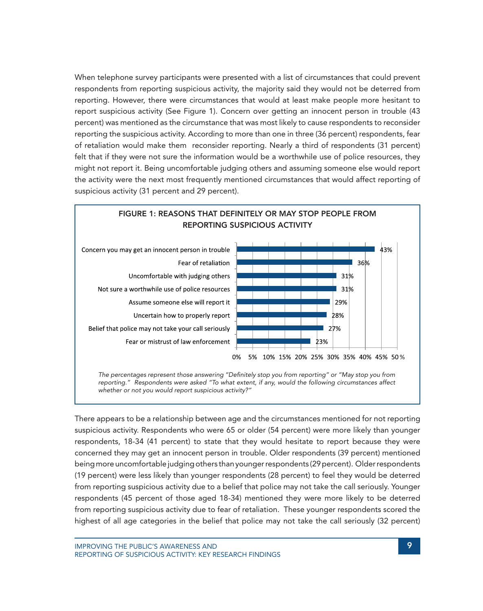When telephone survey participants were presented with a list of circumstances that could prevent respondents from reporting suspicious activity, the majority said they would not be deterred from reporting. However, there were circumstances that would at least make people more hesitant to report suspicious activity (See Figure 1). Concern over getting an innocent person in trouble (43 percent) was mentioned as the circumstance that was most likely to cause respondents to reconsider reporting the suspicious activity. According to more than one in three (36 percent) respondents, fear of retaliation would make them reconsider reporting. Nearly a third of respondents (31 percent) felt that if they were not sure the information would be a worthwhile use of police resources, they might not report it. Being uncomfortable judging others and assuming someone else would report the activity were the next most frequently mentioned circumstances that would affect reporting of suspicious activity (31 percent and 29 percent).



There appears to be a relationship between age and the circumstances mentioned for not reporting suspicious activity. Respondents who were 65 or older (54 percent) were more likely than younger respondents, 18-34 (41 percent) to state that they would hesitate to report because they were concerned they may get an innocent person in trouble. Older respondents (39 percent) mentioned being more uncomfortable judging others than younger respondents (29 percent). Older respondents (19 percent) were less likely than younger respondents (28 percent) to feel they would be deterred from reporting suspicious activity due to a belief that police may not take the call seriously. Younger respondents (45 percent of those aged 18-34) mentioned they were more likely to be deterred from reporting suspicious activity due to fear of retaliation. These younger respondents scored the highest of all age categories in the belief that police may not take the call seriously (32 percent)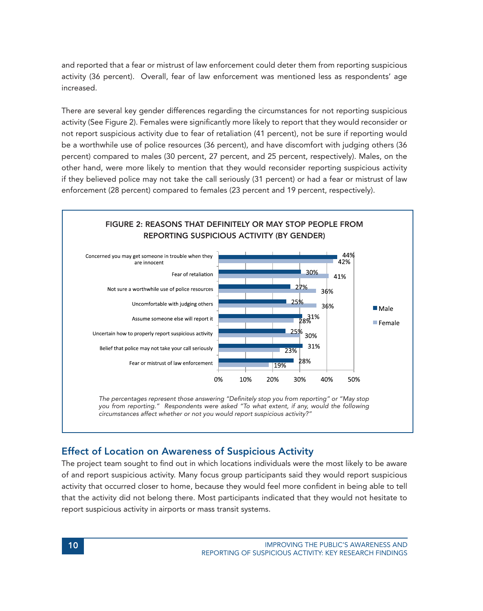and reported that a fear or mistrust of law enforcement could deter them from reporting suspicious activity (36 percent). Overall, fear of law enforcement was mentioned less as respondents' age increased.

There are several key gender differences regarding the circumstances for not reporting suspicious activity (See Figure 2). Females were significantly more likely to report that they would reconsider or not report suspicious activity due to fear of retaliation (41 percent), not be sure if reporting would be a worthwhile use of police resources (36 percent), and have discomfort with judging others (36 percent) compared to males (30 percent, 27 percent, and 25 percent, respectively). Males, on the other hand, were more likely to mention that they would reconsider reporting suspicious activity if they believed police may not take the call seriously (31 percent) or had a fear or mistrust of law enforcement (28 percent) compared to females (23 percent and 19 percent, respectively).



*you from reporting." Respondents were asked "To what extent, if any, would the following circumstances affect whether or not you would report suspicious activity?"* 

## Effect of Location on Awareness of Suspicious Activity

The project team sought to find out in which locations individuals were the most likely to be aware of and report suspicious activity. Many focus group participants said they would report suspicious activity that occurred closer to home, because they would feel more confident in being able to tell that the activity did not belong there. Most participants indicated that they would not hesitate to report suspicious activity in airports or mass transit systems.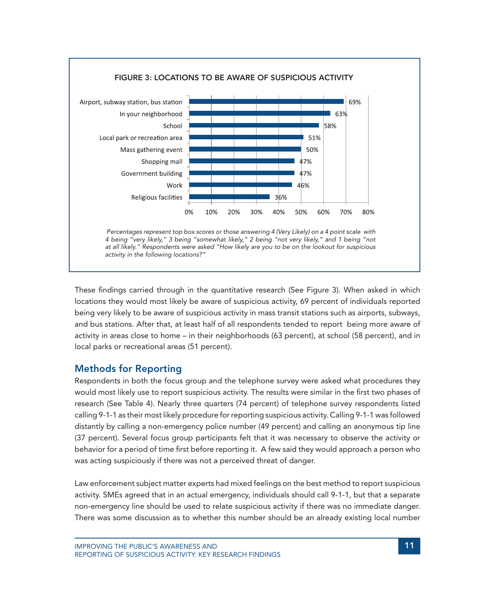

These findings carried through in the quantitative research (See Figure 3). When asked in which locations they would most likely be aware of suspicious activity, 69 percent of individuals reported being very likely to be aware of suspicious activity in mass transit stations such as airports, subways, and bus stations. After that, at least half of all respondents tended to report being more aware of activity in areas close to home – in their neighborhoods (63 percent), at school (58 percent), and in local parks or recreational areas (51 percent).

## Methods for Reporting

Respondents in both the focus group and the telephone survey were asked what procedures they would most likely use to report suspicious activity. The results were similar in the first two phases of research (See Table 4). Nearly three quarters (74 percent) of telephone survey respondents listed calling 9-1-1 as their most likely procedure for reporting suspicious activity. Calling 9-1-1 was followed distantly by calling a non-emergency police number (49 percent) and calling an anonymous tip line (37 percent). Several focus group participants felt that it was necessary to observe the activity or behavior for a period of time first before reporting it. A few said they would approach a person who was acting suspiciously if there was not a perceived threat of danger.

Law enforcement subject matter experts had mixed feelings on the best method to report suspicious activity. SMEs agreed that in an actual emergency, individuals should call 9-1-1, but that a separate non-emergency line should be used to relate suspicious activity if there was no immediate danger. There was some discussion as to whether this number should be an already existing local number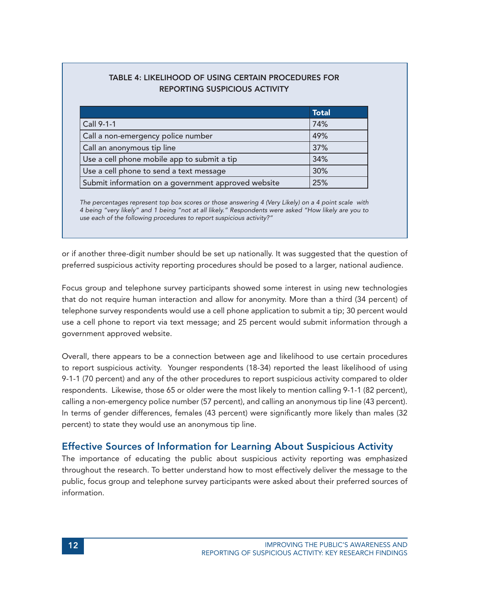#### TABLE 4: LIKELIHOOD OF USING CERTAIN PROCEDURES FOR REPORTING SUSPICIOUS ACTIVITY

|                                                     | <b>Total</b> |
|-----------------------------------------------------|--------------|
| Call 9-1-1                                          | 74%          |
| Call a non-emergency police number                  | 49%          |
| Call an anonymous tip line                          | 37%          |
| Use a cell phone mobile app to submit a tip         | 34%          |
| Use a cell phone to send a text message             | 30%          |
| Submit information on a government approved website | 25%          |

*The percentages represent top box scores or those answering 4 (Very Likely) on a 4 point scale with 4 being "very likely" and 1 being "not at all likely." Respondents were asked "How likely are you to use each of the following procedures to report suspicious activity?"* 

or if another three-digit number should be set up nationally. It was suggested that the question of preferred suspicious activity reporting procedures should be posed to a larger, national audience.

Focus group and telephone survey participants showed some interest in using new technologies that do not require human interaction and allow for anonymity. More than a third (34 percent) of telephone survey respondents would use a cell phone application to submit a tip; 30 percent would use a cell phone to report via text message; and 25 percent would submit information through a government approved website.

Overall, there appears to be a connection between age and likelihood to use certain procedures to report suspicious activity. Younger respondents (18-34) reported the least likelihood of using 9-1-1 (70 percent) and any of the other procedures to report suspicious activity compared to older respondents. Likewise, those 65 or older were the most likely to mention calling 9-1-1 (82 percent), calling a non-emergency police number (57 percent), and calling an anonymous tip line (43 percent). In terms of gender differences, females (43 percent) were significantly more likely than males (32 percent) to state they would use an anonymous tip line.

## Effective Sources of Information for Learning About Suspicious Activity

The importance of educating the public about suspicious activity reporting was emphasized throughout the research. To better understand how to most effectively deliver the message to the public, focus group and telephone survey participants were asked about their preferred sources of information.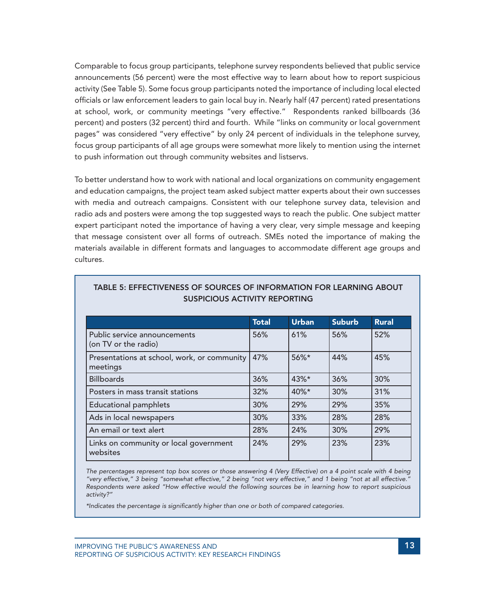Comparable to focus group participants, telephone survey respondents believed that public service announcements (56 percent) were the most effective way to learn about how to report suspicious activity (See Table 5). Some focus group participants noted the importance of including local elected officials or law enforcement leaders to gain local buy in. Nearly half (47 percent) rated presentations at school, work, or community meetings "very effective." Respondents ranked billboards (36 percent) and posters (32 percent) third and fourth. While "links on community or local government pages" was considered "very effective" by only 24 percent of individuals in the telephone survey, focus group participants of all age groups were somewhat more likely to mention using the internet to push information out through community websites and listservs.

To better understand how to work with national and local organizations on community engagement and education campaigns, the project team asked subject matter experts about their own successes with media and outreach campaigns. Consistent with our telephone survey data, television and radio ads and posters were among the top suggested ways to reach the public. One subject matter expert participant noted the importance of having a very clear, very simple message and keeping that message consistent over all forms of outreach. SMEs noted the importance of making the materials available in different formats and languages to accommodate different age groups and cultures.

|                                                         | <b>Total</b> | <b>Urban</b> | <b>Suburb</b> | <b>Rural</b> |
|---------------------------------------------------------|--------------|--------------|---------------|--------------|
| Public service announcements<br>(on TV or the radio)    | 56%          | 61%          | 56%           | 52%          |
| Presentations at school, work, or community<br>meetings | 47%          | 56%*         | 44%           | 45%          |
| <b>Billboards</b>                                       | 36%          | 43%*         | 36%           | 30%          |
| Posters in mass transit stations                        | 32%          | 40%*         | 30%           | 31%          |
| <b>Educational pamphlets</b>                            | 30%          | 29%          | 29%           | 35%          |
| Ads in local newspapers                                 | 30%          | 33%          | 28%           | 28%          |
| An email or text alert                                  | 28%          | 24%          | 30%           | 29%          |
| Links on community or local government<br>websites      | 24%          | 29%          | 23%           | 23%          |

#### TABLE 5: EFFECTIVENESS OF SOURCES OF INFORMATION FOR LEARNING ABOUT SUSPICIOUS ACTIVITY REPORTING

*The percentages represent top box scores or those answering 4 (Very Effective) on a 4 point scale with 4 being "very effective," 3 being "somewhat effective," 2 being "not very effective," and 1 being "not at all effective." Respondents were asked "How effective would the following sources be in learning how to report suspicious activity?"* 

*\*Indicates the percentage is significantly higher than one or both of compared categories.*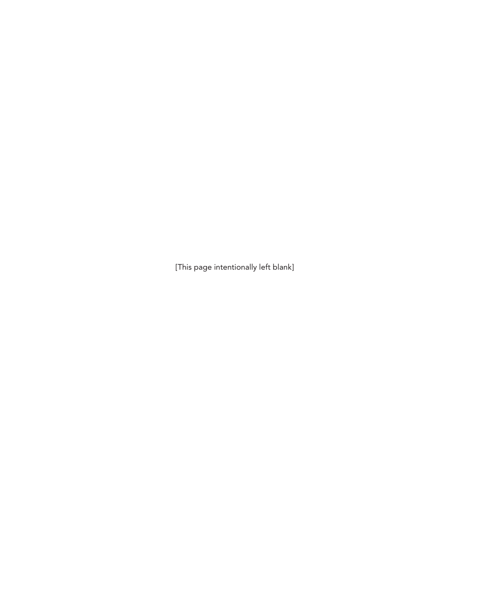[This page intentionally left blank]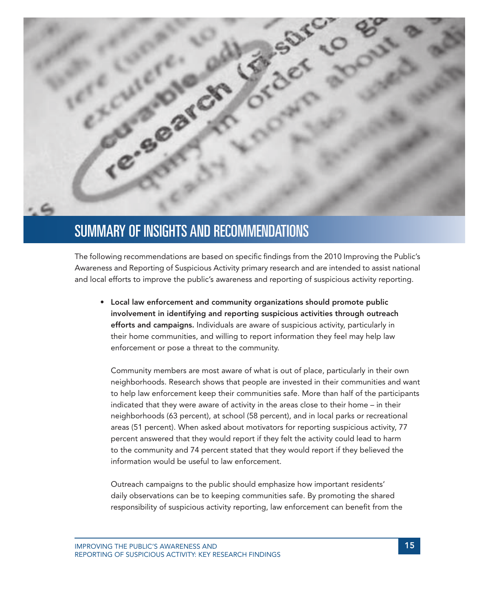# SUMMARY OF INSIGHTS AND RECOMMENDATIONS

C. B. B. C. C.

The following recommendations are based on specific findings from the 2010 Improving the Public's Awareness and Reporting of Suspicious Activity primary research and are intended to assist national and local efforts to improve the public's awareness and reporting of suspicious activity reporting.

• Local law enforcement and community organizations should promote public involvement in identifying and reporting suspicious activities through outreach efforts and campaigns. Individuals are aware of suspicious activity, particularly in their home communities, and willing to report information they feel may help law enforcement or pose a threat to the community.

Community members are most aware of what is out of place, particularly in their own neighborhoods. Research shows that people are invested in their communities and want to help law enforcement keep their communities safe. More than half of the participants indicated that they were aware of activity in the areas close to their home – in their neighborhoods (63 percent), at school (58 percent), and in local parks or recreational areas (51 percent). When asked about motivators for reporting suspicious activity, 77 percent answered that they would report if they felt the activity could lead to harm to the community and 74 percent stated that they would report if they believed the information would be useful to law enforcement.

Outreach campaigns to the public should emphasize how important residents' daily observations can be to keeping communities safe. By promoting the shared responsibility of suspicious activity reporting, law enforcement can benefit from the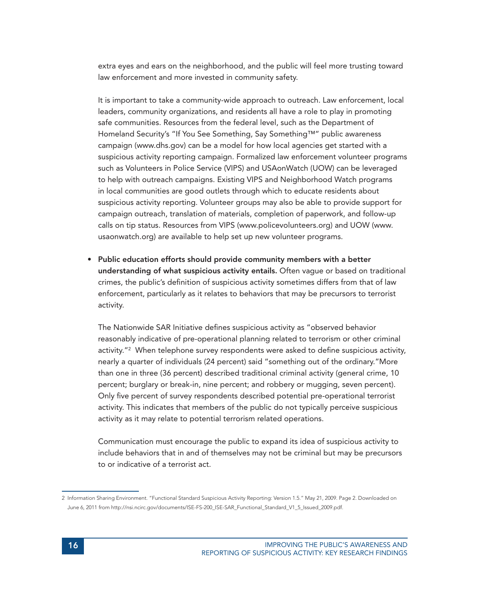extra eyes and ears on the neighborhood, and the public will feel more trusting toward law enforcement and more invested in community safety.

It is important to take a community-wide approach to outreach. Law enforcement, local leaders, community organizations, and residents all have a role to play in promoting safe communities. Resources from the federal level, such as the Department of Homeland Security's "If You See Something, Say Something™" public awareness campaign (www.dhs.gov) can be a model for how local agencies get started with a suspicious activity reporting campaign. Formalized law enforcement volunteer programs such as Volunteers in Police Service (VIPS) and USAonWatch (UOW) can be leveraged to help with outreach campaigns. Existing VIPS and Neighborhood Watch programs in local communities are good outlets through which to educate residents about suspicious activity reporting. Volunteer groups may also be able to provide support for campaign outreach, translation of materials, completion of paperwork, and follow-up calls on tip status. Resources from VIPS (www.policevolunteers.org) and UOW (www. usaonwatch.org) are available to help set up new volunteer programs.

 $\bullet$  Public education efforts should provide community members with a better understanding of what suspicious activity entails. Often vague or based on traditional crimes, the public's definition of suspicious activity sometimes differs from that of law enforcement, particularly as it relates to behaviors that may be precursors to terrorist activity.

> The Nationwide SAR Initiative defines suspicious activity as "observed behavior reasonably indicative of pre-operational planning related to terrorism or other criminal activity."2 When telephone survey respondents were asked to define suspicious activity, nearly a quarter of individuals (24 percent) said "something out of the ordinary."More than one in three (36 percent) described traditional criminal activity (general crime, 10 percent; burglary or break-in, nine percent; and robbery or mugging, seven percent). Only five percent of survey respondents described potential pre-operational terrorist activity. This indicates that members of the public do not typically perceive suspicious activity as it may relate to potential terrorism related operations.

Communication must encourage the public to expand its idea of suspicious activity to include behaviors that in and of themselves may not be criminal but may be precursors to or indicative of a terrorist act.

<sup>2</sup> Information Sharing Environment. "Functional Standard Suspicious Activity Reporting: Version 1.5." May 21, 2009. Page 2. Downloaded on June 6, 2011 from http://nsi.ncirc.gov/documents/ISE-FS-200\_ISE-SAR\_Functional\_Standard\_V1\_5\_Issued\_2009.pdf.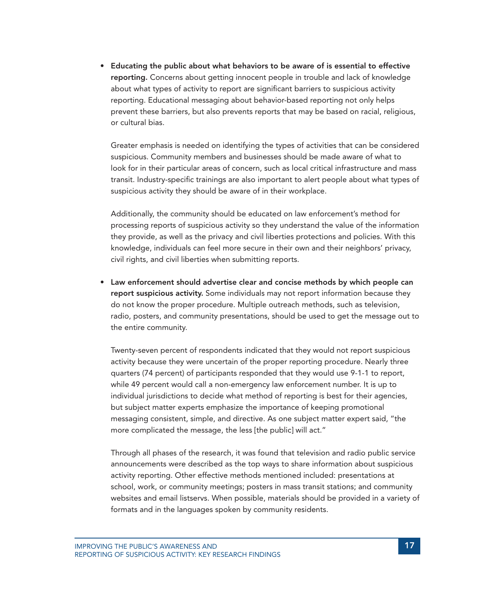$\bullet$   $\,$  Educating the public about what behaviors to be aware of is essential to effective reporting. Concerns about getting innocent people in trouble and lack of knowledge about what types of activity to report are significant barriers to suspicious activity reporting. Educational messaging about behavior-based reporting not only helps prevent these barriers, but also prevents reports that may be based on racial, religious, or cultural bias.

> Greater emphasis is needed on identifying the types of activities that can be considered suspicious. Community members and businesses should be made aware of what to look for in their particular areas of concern, such as local critical infrastructure and mass transit. Industry-specific trainings are also important to alert people about what types of suspicious activity they should be aware of in their workplace.

> Additionally, the community should be educated on law enforcement's method for processing reports of suspicious activity so they understand the value of the information they provide, as well as the privacy and civil liberties protections and policies. With this knowledge, individuals can feel more secure in their own and their neighbors' privacy, civil rights, and civil liberties when submitting reports.

 $\bullet$   $\;$  Law enforcement should advertise clear and concise methods by which people can report suspicious activity. Some individuals may not report information because they do not know the proper procedure. Multiple outreach methods, such as television, radio, posters, and community presentations, should be used to get the message out to the entire community.

> Twenty-seven percent of respondents indicated that they would not report suspicious activity because they were uncertain of the proper reporting procedure. Nearly three quarters (74 percent) of participants responded that they would use 9-1-1 to report, while 49 percent would call a non-emergency law enforcement number. It is up to individual jurisdictions to decide what method of reporting is best for their agencies, but subject matter experts emphasize the importance of keeping promotional messaging consistent, simple, and directive. As one subject matter expert said, "the more complicated the message, the less [the public] will act."

Through all phases of the research, it was found that television and radio public service announcements were described as the top ways to share information about suspicious activity reporting. Other effective methods mentioned included: presentations at school, work, or community meetings; posters in mass transit stations; and community websites and email listservs. When possible, materials should be provided in a variety of formats and in the languages spoken by community residents.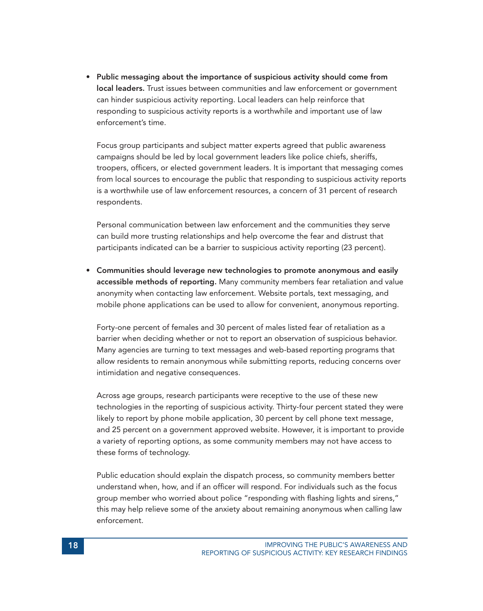$\bullet$  Public messaging about the importance of suspicious activity should come from local leaders. Trust issues between communities and law enforcement or government can hinder suspicious activity reporting. Local leaders can help reinforce that responding to suspicious activity reports is a worthwhile and important use of law enforcement's time.

> Focus group participants and subject matter experts agreed that public awareness campaigns should be led by local government leaders like police chiefs, sheriffs, troopers, officers, or elected government leaders. It is important that messaging comes from local sources to encourage the public that responding to suspicious activity reports is a worthwhile use of law enforcement resources, a concern of 31 percent of research respondents.

Personal communication between law enforcement and the communities they serve can build more trusting relationships and help overcome the fear and distrust that participants indicated can be a barrier to suspicious activity reporting (23 percent).

 • Communities should leverage new technologies to promote anonymous and easily accessible methods of reporting. Many community members fear retaliation and value anonymity when contacting law enforcement. Website portals, text messaging, and mobile phone applications can be used to allow for convenient, anonymous reporting.

> Forty-one percent of females and 30 percent of males listed fear of retaliation as a barrier when deciding whether or not to report an observation of suspicious behavior. Many agencies are turning to text messages and web-based reporting programs that allow residents to remain anonymous while submitting reports, reducing concerns over intimidation and negative consequences.

Across age groups, research participants were receptive to the use of these new technologies in the reporting of suspicious activity. Thirty-four percent stated they were likely to report by phone mobile application, 30 percent by cell phone text message, and 25 percent on a government approved website. However, it is important to provide a variety of reporting options, as some community members may not have access to these forms of technology.

Public education should explain the dispatch process, so community members better understand when, how, and if an officer will respond. For individuals such as the focus group member who worried about police "responding with flashing lights and sirens," this may help relieve some of the anxiety about remaining anonymous when calling law enforcement.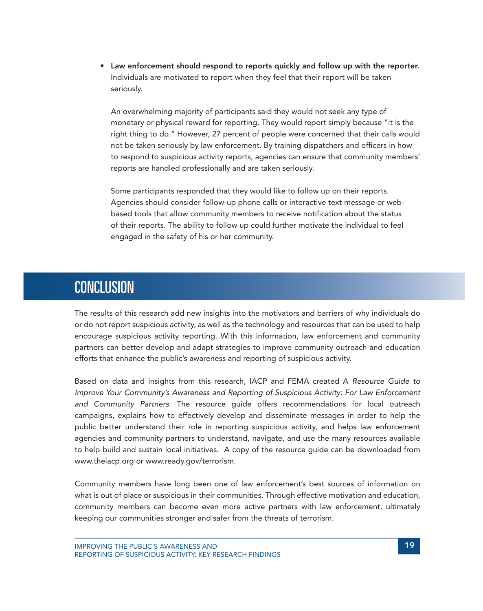• Law enforcement should respond to reports quickly and follow up with the reporter. Individuals are motivated to report when they feel that their report will be taken seriously.

> An overwhelming majority of participants said they would not seek any type of monetary or physical reward for reporting. They would report simply because "it is the right thing to do." However, 27 percent of people were concerned that their calls would not be taken seriously by law enforcement. By training dispatchers and officers in how to respond to suspicious activity reports, agencies can ensure that community members' reports are handled professionally and are taken seriously.

Some participants responded that they would like to follow up on their reports. Agencies should consider follow-up phone calls or interactive text message or webbased tools that allow community members to receive notification about the status of their reports. The ability to follow up could further motivate the individual to feel engaged in the safety of his or her community.

# **CONCLUSION**

The results of this research add new insights into the motivators and barriers of why individuals do or do not report suspicious activity, as well as the technology and resources that can be used to help encourage suspicious activity reporting. With this information, law enforcement and community partners can better develop and adapt strategies to improve community outreach and education efforts that enhance the public's awareness and reporting of suspicious activity.

Based on data and insights from this research, IACP and FEMA created A *Resource Guide to Improve Your Community's Awareness and Reporting of Suspicious Activity: For Law Enforcement and Community Partners*. The resource guide offers recommendations for local outreach campaigns, explains how to effectively develop and disseminate messages in order to help the public better understand their role in reporting suspicious activity, and helps law enforcement agencies and community partners to understand, navigate, and use the many resources available to help build and sustain local initiatives. A copy of the resource guide can be downloaded from www.theiacp.org or www.ready.gov/terrorism.

Community members have long been one of law enforcement's best sources of information on what is out of place or suspicious in their communities. Through effective motivation and education, community members can become even more active partners with law enforcement, ultimately keeping our communities stronger and safer from the threats of terrorism.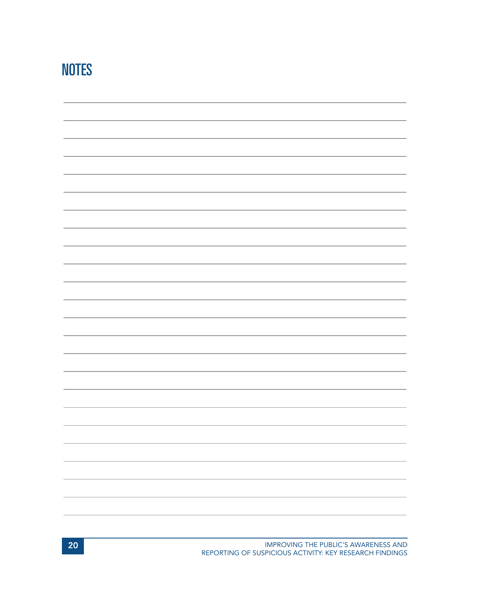# **NOTES**

| $\begin{tabular}{lcccccc} \multicolumn{2}{c }{\textbf{1} & \textbf{2} & \textbf{3} & \textbf{4} & \textbf{5} & \textbf{5} & \textbf{6} & \textbf{6} & \textbf{7} & \textbf{8} & \textbf{8} & \textbf{9} & \textbf{10} & \textbf{10} & \textbf{10} & \textbf{10} & \textbf{10} & \textbf{10} & \textbf{10} & \textbf{10} & \textbf{10} & \textbf{10} & \textbf{10} & \textbf{10} & \textbf{10} & \textbf{10} & \textbf{$ |
|-------------------------------------------------------------------------------------------------------------------------------------------------------------------------------------------------------------------------------------------------------------------------------------------------------------------------------------------------------------------------------------------------------------------------|
|                                                                                                                                                                                                                                                                                                                                                                                                                         |
|                                                                                                                                                                                                                                                                                                                                                                                                                         |
|                                                                                                                                                                                                                                                                                                                                                                                                                         |
|                                                                                                                                                                                                                                                                                                                                                                                                                         |
| -                                                                                                                                                                                                                                                                                                                                                                                                                       |
|                                                                                                                                                                                                                                                                                                                                                                                                                         |
|                                                                                                                                                                                                                                                                                                                                                                                                                         |
|                                                                                                                                                                                                                                                                                                                                                                                                                         |
|                                                                                                                                                                                                                                                                                                                                                                                                                         |
|                                                                                                                                                                                                                                                                                                                                                                                                                         |
|                                                                                                                                                                                                                                                                                                                                                                                                                         |
|                                                                                                                                                                                                                                                                                                                                                                                                                         |
|                                                                                                                                                                                                                                                                                                                                                                                                                         |
|                                                                                                                                                                                                                                                                                                                                                                                                                         |
|                                                                                                                                                                                                                                                                                                                                                                                                                         |
|                                                                                                                                                                                                                                                                                                                                                                                                                         |
|                                                                                                                                                                                                                                                                                                                                                                                                                         |
|                                                                                                                                                                                                                                                                                                                                                                                                                         |
|                                                                                                                                                                                                                                                                                                                                                                                                                         |
|                                                                                                                                                                                                                                                                                                                                                                                                                         |
|                                                                                                                                                                                                                                                                                                                                                                                                                         |
| -                                                                                                                                                                                                                                                                                                                                                                                                                       |
|                                                                                                                                                                                                                                                                                                                                                                                                                         |
|                                                                                                                                                                                                                                                                                                                                                                                                                         |
|                                                                                                                                                                                                                                                                                                                                                                                                                         |
|                                                                                                                                                                                                                                                                                                                                                                                                                         |
| $\overline{\phantom{a}}$                                                                                                                                                                                                                                                                                                                                                                                                |